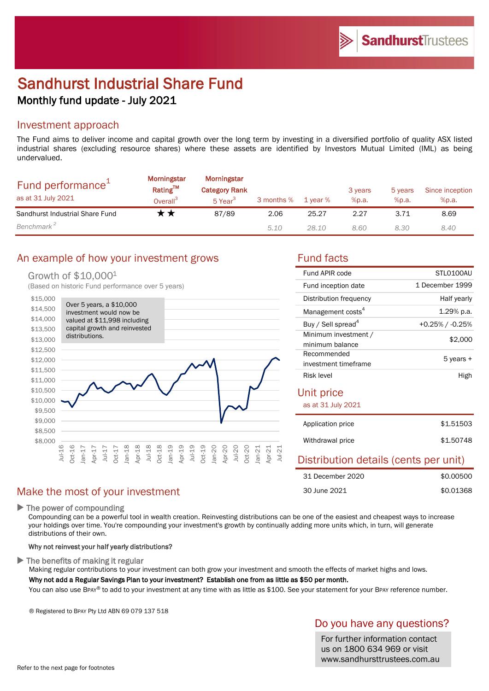# Sandhurst Industrial Share Fund Monthly fund update - July 2021

### Investment approach

The Fund aims to deliver income and capital growth over the long term by investing in a diversified portfolio of quality ASX listed industrial shares (excluding resource shares) where these assets are identified by Investors Mutual Limited (IML) as being undervalued.

| Fund performance <sup>+</sup><br>as at 31 July 2021 | <b>Morningstar</b><br><b>Rating™</b><br>Overall <sup>3</sup> | Morningstar<br><b>Category Rank</b><br>5 Year <sup>3</sup> | 3 months % | 1 year % | 3 years<br>%p.a. | 5 years<br>%p.a. | Since inception<br>%p.a. |
|-----------------------------------------------------|--------------------------------------------------------------|------------------------------------------------------------|------------|----------|------------------|------------------|--------------------------|
| Sandhurst Industrial Share Fund                     | 7 T                                                          | 87/89                                                      | 2.06       | 25.27    | 2.27             | 3.71             | 8.69                     |
| Benchmark <sup>2</sup>                              |                                                              |                                                            | 5.10       | 28.10    | 8.60             | 8.30             | 8.40                     |

## An example of how your investment grows Fund facts

### Growth of \$10,0001

(Based on historic Fund performance over 5 years)



## Make the most of your investment

 $\blacktriangleright$  The power of compounding

Compounding can be a powerful tool in wealth creation. Reinvesting distributions can be one of the easiest and cheapest ways to increase your holdings over time. You're compounding your investment's growth by continually adding more units which, in turn, will generate distributions of their own.

### Why not reinvest your half yearly distributions?

 $\blacktriangleright$  The benefits of making it regular

Making regular contributions to your investment can both grow your investment and smooth the effects of market highs and lows. Why not add a Regular Savings Plan to your investment? Establish one from as little as \$50 per month.

You can also use BPAY® to add to your investment at any time with as little as \$100. See your statement for your BPAY reference number.

® Registered to BPAY Pty Ltd ABN 69 079 137 518

## Do you have any questions?

For further information contact us on 1800 634 969 or visit www.sandhursttrustees.com.au

30 June 2021

| Fund APIR code                          | STI 0100AU      |  |  |  |
|-----------------------------------------|-----------------|--|--|--|
| Fund inception date                     | 1 December 1999 |  |  |  |
| Distribution frequency                  | Half yearly     |  |  |  |
| Management costs <sup>4</sup>           | 1.29% p.a.      |  |  |  |
| Buy / Sell spread <sup>4</sup>          | +0.25% / -0.25% |  |  |  |
| Minimum investment /<br>minimum balance | \$2,000         |  |  |  |
| Recommended<br>investment timeframe     | 5 years +       |  |  |  |
| Risk level                              | High            |  |  |  |
| Unit price<br>as at 31 July 2021        |                 |  |  |  |
| Application price                       | \$1.51503       |  |  |  |
| Withdrawal price                        | \$1.50748       |  |  |  |
| Distribution details (cents per unit)   |                 |  |  |  |
| 31 December 2020                        | \$0.00500       |  |  |  |

\$0.01368